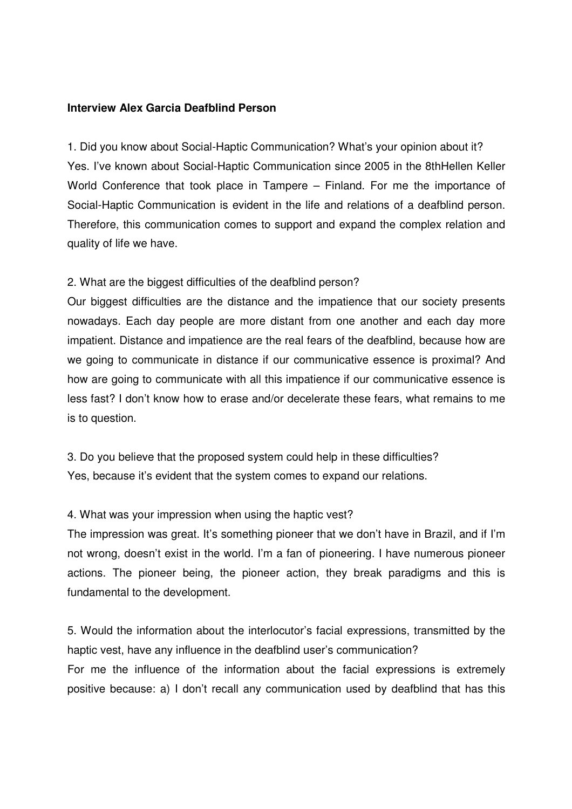## **Interview Alex Garcia Deafblind Person**

1. Did you know about Social-Haptic Communication? What's your opinion about it? Yes. I've known about Social-Haptic Communication since 2005 in the 8thHellen Keller World Conference that took place in Tampere – Finland. For me the importance of Social-Haptic Communication is evident in the life and relations of a deafblind person. Therefore, this communication comes to support and expand the complex relation and quality of life we have.

## 2. What are the biggest difficulties of the deafblind person?

Our biggest difficulties are the distance and the impatience that our society presents nowadays. Each day people are more distant from one another and each day more impatient. Distance and impatience are the real fears of the deafblind, because how are we going to communicate in distance if our communicative essence is proximal? And how are going to communicate with all this impatience if our communicative essence is less fast? I don't know how to erase and/or decelerate these fears, what remains to me is to question.

3. Do you believe that the proposed system could help in these difficulties? Yes, because it's evident that the system comes to expand our relations.

## 4. What was your impression when using the haptic vest?

The impression was great. It's something pioneer that we don't have in Brazil, and if I'm not wrong, doesn't exist in the world. I'm a fan of pioneering. I have numerous pioneer actions. The pioneer being, the pioneer action, they break paradigms and this is fundamental to the development.

5. Would the information about the interlocutor's facial expressions, transmitted by the haptic vest, have any influence in the deafblind user's communication?

For me the influence of the information about the facial expressions is extremely positive because: a) I don't recall any communication used by deafblind that has this